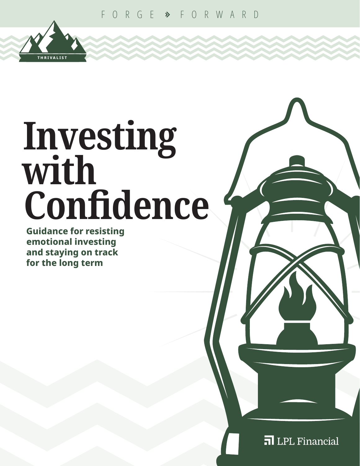

**Guidance for resisting emotional investing and staying on track for the long term**

**THRIVALIST**

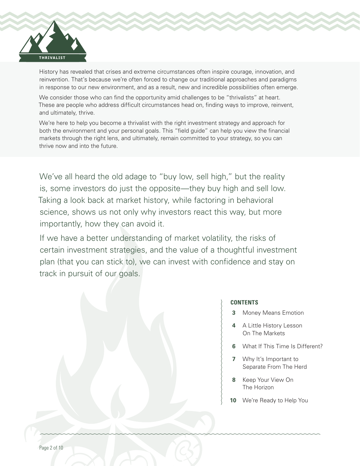

History has revealed that crises and extreme circumstances often inspire courage, innovation, and reinvention. That's because we're often forced to change our traditional approaches and paradigms in response to our new environment, and as a result, new and incredible possibilities often emerge.

We consider those who can find the opportunity amid challenges to be "thrivalists" at heart. These are people who address difficult circumstances head on, finding ways to improve, reinvent, and ultimately, thrive.

We're here to help you become a thrivalist with the right investment strategy and approach for both the environment and your personal goals. This "field guide" can help you view the financial markets through the right lens, and ultimately, remain committed to your strategy, so you can thrive now and into the future.

We've all heard the old adage to "buy low, sell high," but the reality is, some investors do just the opposite—they buy high and sell low. Taking a look back at market history, while factoring in behavioral science, shows us not only why investors react this way, but more importantly, how they can avoid it.

If we have a better understanding of market volatility, the risks of certain investment strategies, and the value of a thoughtful investment plan (that you can stick to), we can invest with confidence and stay on track in pursuit of our goals.

#### **CONTENTS**

- **3** Money Means Emotion
- **4** A Little History Lesson On The Markets
- **6** What If This Time Is Different?
- **7** Why It's Important to Separate From The Herd
- **8** Keep Your View On The Horizon
- **10** We're Ready to Help You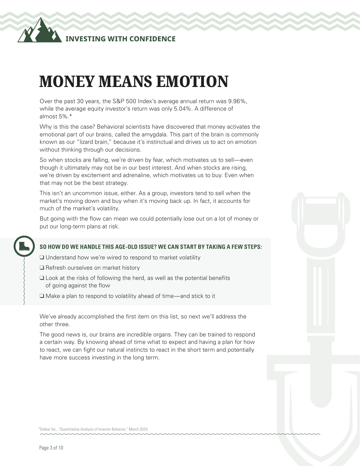

## MONEY MEANS EMOTION

Over the past 30 years, the S&P 500 Index's average annual return was 9.96%, while the average equity investor's return was only 5.04%. A difference of almost 5%.\*

Why is this the case? Behavioral scientists have discovered that money activates the emotional part of our brains, called the amygdala. This part of the brain is commonly known as our "lizard brain," because it's instinctual and drives us to act on emotion without thinking through our decisions.

So when stocks are falling, we're driven by fear, which motivates us to sell—even though it ultimately may not be in our best interest. And when stocks are rising, we're driven by excitement and adrenaline, which motivates us to buy. Even when that may not be the best strategy.

This isn't an uncommon issue, either. As a group, investors tend to sell when the market's moving down and buy when it's moving back up. In fact, it accounts for much of the market's volatility.

But going with the flow can mean we could potentially lose out on a lot of money or put our long-term plans at risk.

#### **SO HOW DO WE HANDLE THIS AGE-OLD ISSUE? WE CAN START BY TAKING A FEW STEPS:**

❑ Understand how we're wired to respond to market volatility

- ❑ Refresh ourselves on market history
- ❑ Look at the risks of following the herd, as well as the potential benefits of going against the flow
- ❑ Make a plan to respond to volatility ahead of time—and stick to it

We've already accomplished the first item on this list, so next we'll address the other three.

The good news is, our brains are incredible organs. They can be trained to respond a certain way. By knowing ahead of time what to expect and having a plan for how to react, we can fight our natural instincts to react in the short term and potentially have more success investing in the long term.

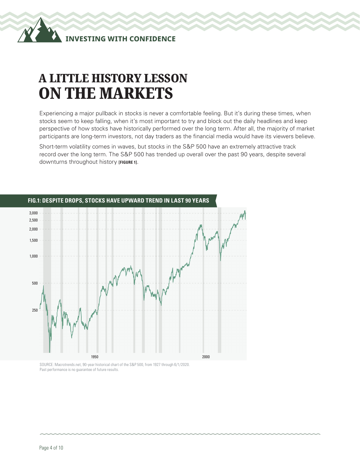### A LITTLE HISTORY LESSON ON THE MARKETS

Experiencing a major pullback in stocks is never a comfortable feeling. But it's during these times, when stocks seem to keep falling, when it's most important to try and block out the daily headlines and keep perspective of how stocks have historically performed over the long term. After all, the majority of market participants are long-term investors, not day traders as the financial media would have its viewers believe.

Short-term volatility comes in waves, but stocks in the S&P 500 have an extremely attractive track record over the long term. The S&P 500 has trended up overall over the past 90 years, despite several downturns throughout history **[FIGURE 1]**.



SOURCE: Macrotrends.net, 90-year historical chart of the S&P 500, from 1927 through 6/1/2020. Past performance is no guarantee of future results.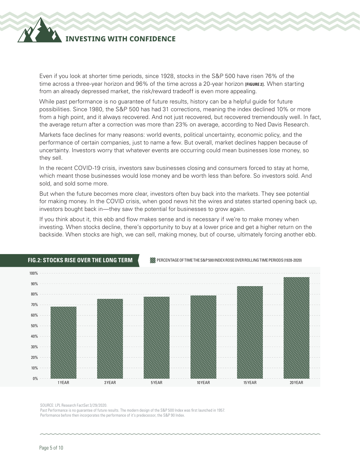### **INVESTING WITH CONFIDENCE**

Even if you look at shorter time periods, since 1928, stocks in the S&P 500 have risen 76% of the time across a three-year horizon and 96% of the time across a 20-year horizon **[FIGURE 2]**. When starting from an already depressed market, the risk/reward tradeoff is even more appealing.

While past performance is no guarantee of future results, history can be a helpful guide for future possibilities. Since 1980, the S&P 500 has had 31 corrections, meaning the index declined 10% or more from a high point, and it always recovered. And not just recovered, but recovered tremendously well. In fact, the average return after a correction was more than 23% on average, according to Ned Davis Research.

Markets face declines for many reasons: world events, political uncertainty, economic policy, and the performance of certain companies, just to name a few. But overall, market declines happen because of uncertainty. Investors worry that whatever events are occurring could mean businesses lose money, so they sell.

In the recent COVID-19 crisis, investors saw businesses closing and consumers forced to stay at home, which meant those businesses would lose money and be worth less than before. So investors sold. And sold, and sold some more.

But when the future becomes more clear, investors often buy back into the markets. They see potential for making money. In the COVID crisis, when good news hit the wires and states started opening back up, investors bought back in—they saw the potential for businesses to grow again.

If you think about it, this ebb and flow makes sense and is necessary if we're to make money when investing. When stocks decline, there's opportunity to buy at a lower price and get a higher return on the backside. When stocks are high, we can sell, making money, but of course, ultimately forcing another ebb.



#### **FIG.2: STOCKS RISE OVER THE LONG TERM**

SOURCE: LPL Research FactSet 3/29/2020.

Past Performance is no guarantee of future results. The modern design of the S&P 500 Index was first launched in 1957. Performance before then incorporates the performance of it's predecessor, the S&P 90 Index.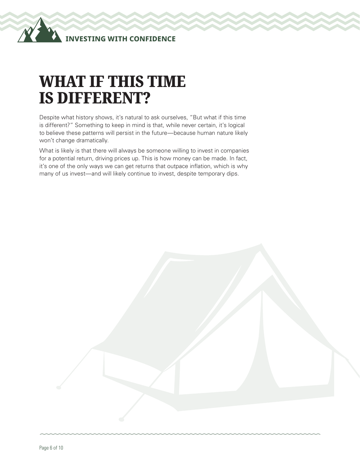# WHAT IF THIS TIME IS DIFFERENT?

Despite what history shows, it's natural to ask ourselves, "But what if this time is different?" Something to keep in mind is that, while never certain, it's logical to believe these patterns will persist in the future—because human nature likely won't change dramatically.

What is likely is that there will always be someone willing to invest in companies for a potential return, driving prices up. This is how money can be made. In fact, it's one of the only ways we can get returns that outpace inflation, which is why many of us invest—and will likely continue to invest, despite temporary dips.

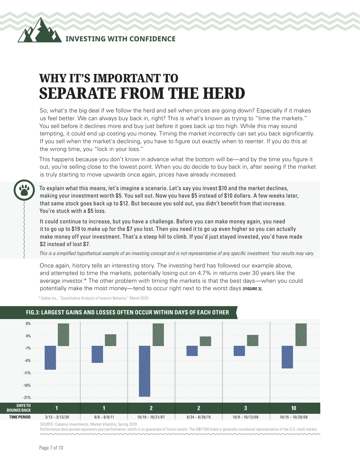### WHY IT'S IMPORTANT TO SEPARATE FROM THE HERD

So, what's the big deal if we follow the herd and sell when prices are going down? Especially if it makes us feel better. We can always buy back in, right? This is what's known as trying to "time the markets." You sell before it declines more and buy just before it goes back up too high. While this may sound tempting, it could end up costing you money. Timing the market incorrectly can set you back significantly. If you sell when the market's declining, you have to figure out exactly when to reenter. If you do this at the wrong time, you "lock in your loss."

This happens because you don't know in advance what the bottom will be—and by the time you figure it out, you're selling close to the lowest point. When you do decide to buy back in, after seeing if the market is truly starting to move upwards once again, prices have already increased.

To explain what this means, let's imagine a scenario. Let's say you invest \$10 and the market declines, making your investment worth \$5. You sell out. Now you have \$5 instead of \$10 dollars. A few weeks later, that same stock goes back up to \$12. But because you sold out, you didn't benefit from that increase. You're stuck with a \$5 loss.

It could continue to increase, but you have a challenge. Before you can make money again, you need it to go up to \$19 to make up for the \$7 you lost. Then you need it to go up even higher so you can actually make money off your investment. That's a steep hill to climb. If you'd just stayed invested, you'd have made \$2 instead of lost \$7.

*This is a simplified hypothetical example of an investing concept and is not representative of any specific investment. Your results may vary.*

Once again, history tells an interesting story. The investing herd has followed our example above, and attempted to time the markets, potentially losing out on 4.7% in returns over 30 years like the average investor.\* The other problem with timing the markets is that the best days—when you could potentially make the most money—tend to occur right next to the worst days **[FIGURE 3]**.

\* Dalbar Inc., "Quantitative Analysis of Investor Behavior," March 2020.



#### **FIG.3: LARGEST GAINS AND LOSSES OFTEN OCCUR WITHIN DAYS OF EACH OTHER**

Performance data quoted represents past performance, which is no guarantee of future results. The S&P 500 Index is generally considered representative of the U.S. stock market.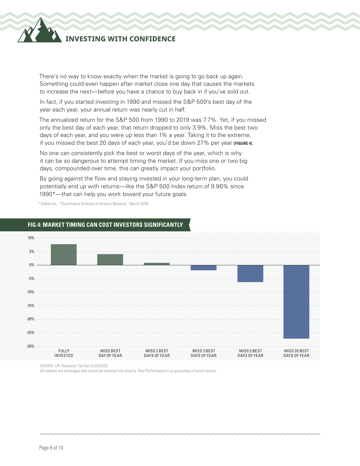### **INVESTING WITH CONFIDENCE**

There's no way to know exactly when the market is going to go back up again. Something could even happen after market close one day that causes the markets to increase the next—before you have a chance to buy back in if you've sold out.

In fact, if you started investing in 1990 and missed the S&P 500's best day of the year each year, your annual return was nearly cut in half.

The annualized return for the S&P 500 from 1990 to 2019 was 7.7%. Yet, if you missed only the best day of each year, that return dropped to only 3.9%. Miss the best two days of each year, and you were up less than 1% a year. Taking it to the extreme, if you missed the best 20 days of each year, you'd be down 27% per year **[FIGURE 4]**.

No one can consistently pick the best or worst days of the year, which is why it can be so dangerous to attempt timing the market. If you miss one or two big days, compounded over time, this can greatly impact your portfolio.

By going against the flow and staying invested in your long-term plan, you could potentially end up with returns—like the S&P 500 Index return of 9.96% since 1990\*—that can help you work toward your future goals.

\* Dalbar Inc., "Quantitative Analysis of Investor Behavior," March 2020.

#### 10% 5%  $0\%$ -5% -10% -15% -20% -25% -30% FULLY INVESTED MISS BEST DAY OF YEAR MISS 2 BEST DAYS OF YEAR MISS 3 BEST DAYS OF YEAR MISS 5 BEST DAYS OF YEAR MISS 20 BEST DAYS OF YEAR

#### **FIG.4: MARKET TIMING CAN COST INVESTORS SIGNIFICANTLY**

SOURCE: LPL Research, FactSet 3/23/2020.

All indexes are unmanged and cannot be invested into directly. Past Performance is no guarantee of future results.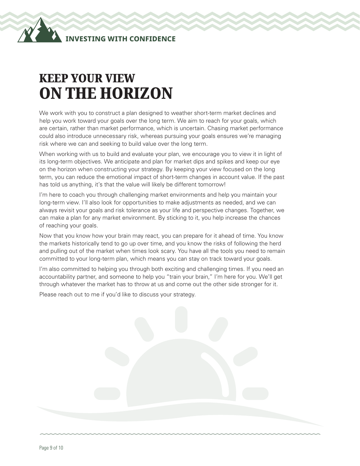### KEEP YOUR VIEW ON THE HORIZON

We work with you to construct a plan designed to weather short-term market declines and help you work toward your goals over the long term. We aim to reach for your goals, which are certain, rather than market performance, which is uncertain. Chasing market performance could also introduce unnecessary risk, whereas pursuing your goals ensures we're managing risk where we can and seeking to build value over the long term.

When working with us to build and evaluate your plan, we encourage you to view it in light of its long-term objectives. We anticipate and plan for market dips and spikes and keep our eye on the horizon when constructing your strategy. By keeping your view focused on the long term, you can reduce the emotional impact of short-term changes in account value. If the past has told us anything, it's that the value will likely be different tomorrow!

I'm here to coach you through challenging market environments and help you maintain your long-term view. I'll also look for opportunities to make adjustments as needed, and we can always revisit your goals and risk tolerance as your life and perspective changes. Together, we can make a plan for any market environment. By sticking to it, you help increase the chances of reaching your goals.

Now that you know how your brain may react, you can prepare for it ahead of time. You know the markets historically tend to go up over time, and you know the risks of following the herd and pulling out of the market when times look scary. You have all the tools you need to remain committed to your long-term plan, which means you can stay on track toward your goals.

I'm also committed to helping you through both exciting and challenging times. If you need an accountability partner, and someone to help you "train your brain," I'm here for you. We'll get through whatever the market has to throw at us and come out the other side stronger for it.

Please reach out to me if you'd like to discuss your strategy.